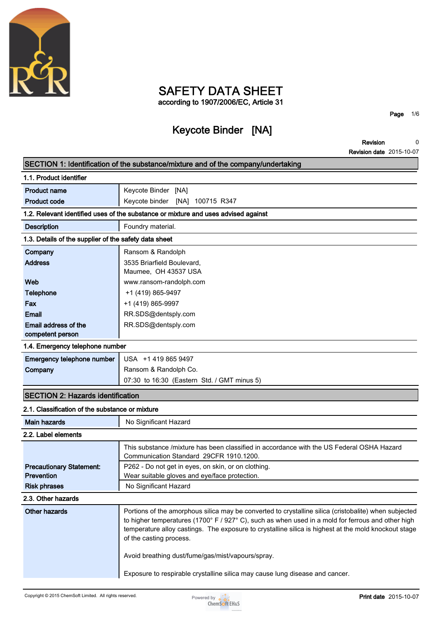

# **SAFETY DATA SHEET according to 1907/2006/EC, Article 31**

**Page 1/6**

# **Keycote Binder [NA]**

**Revision Revision date 2015-10-07 0**

|                                                       | SECTION 1: Identification of the substance/mixture and of the company/undertaking                                                                                                                                                                                                                                                             |  |  |
|-------------------------------------------------------|-----------------------------------------------------------------------------------------------------------------------------------------------------------------------------------------------------------------------------------------------------------------------------------------------------------------------------------------------|--|--|
| 1.1. Product identifier                               |                                                                                                                                                                                                                                                                                                                                               |  |  |
| <b>Product name</b>                                   | Keycote Binder [NA]                                                                                                                                                                                                                                                                                                                           |  |  |
| <b>Product code</b>                                   | Keycote binder [NA] 100715 R347                                                                                                                                                                                                                                                                                                               |  |  |
|                                                       | 1.2. Relevant identified uses of the substance or mixture and uses advised against                                                                                                                                                                                                                                                            |  |  |
| <b>Description</b>                                    | Foundry material.                                                                                                                                                                                                                                                                                                                             |  |  |
| 1.3. Details of the supplier of the safety data sheet |                                                                                                                                                                                                                                                                                                                                               |  |  |
| Company                                               | Ransom & Randolph                                                                                                                                                                                                                                                                                                                             |  |  |
| <b>Address</b>                                        | 3535 Briarfield Boulevard,<br>Maumee, OH 43537 USA                                                                                                                                                                                                                                                                                            |  |  |
| Web                                                   | www.ransom-randolph.com                                                                                                                                                                                                                                                                                                                       |  |  |
| <b>Telephone</b>                                      | +1 (419) 865-9497                                                                                                                                                                                                                                                                                                                             |  |  |
| Fax                                                   | +1 (419) 865-9997                                                                                                                                                                                                                                                                                                                             |  |  |
| <b>Email</b>                                          | RR.SDS@dentsply.com                                                                                                                                                                                                                                                                                                                           |  |  |
| Email address of the<br>competent person              | RR.SDS@dentsply.com                                                                                                                                                                                                                                                                                                                           |  |  |
| 1.4. Emergency telephone number                       |                                                                                                                                                                                                                                                                                                                                               |  |  |
| Emergency telephone number                            | USA +1 419 865 9497                                                                                                                                                                                                                                                                                                                           |  |  |
| Company                                               | Ransom & Randolph Co.                                                                                                                                                                                                                                                                                                                         |  |  |
|                                                       | 07:30 to 16:30 (Eastern Std. / GMT minus 5)                                                                                                                                                                                                                                                                                                   |  |  |
| <b>SECTION 2: Hazards identification</b>              |                                                                                                                                                                                                                                                                                                                                               |  |  |
| 2.1. Classification of the substance or mixture       |                                                                                                                                                                                                                                                                                                                                               |  |  |
| <b>Main hazards</b>                                   | No Significant Hazard                                                                                                                                                                                                                                                                                                                         |  |  |
| 2.2. Label elements                                   |                                                                                                                                                                                                                                                                                                                                               |  |  |
|                                                       | This substance /mixture has been classified in accordance with the US Federal OSHA Hazard<br>Communication Standard 29CFR 1910.1200.                                                                                                                                                                                                          |  |  |
| <b>Precautionary Statement:</b>                       | P262 - Do not get in eyes, on skin, or on clothing.                                                                                                                                                                                                                                                                                           |  |  |
| Prevention                                            | Wear suitable gloves and eye/face protection.                                                                                                                                                                                                                                                                                                 |  |  |
| <b>Risk phrases</b>                                   | No Significant Hazard                                                                                                                                                                                                                                                                                                                         |  |  |
| 2.3. Other hazards                                    |                                                                                                                                                                                                                                                                                                                                               |  |  |
| <b>Other hazards</b>                                  | Portions of the amorphous silica may be converted to crystalline silica (cristobalite) when subjected<br>to higher temperatures (1700° F / 927° C), such as when used in a mold for ferrous and other high<br>temperature alloy castings. The exposure to crystalline silica is highest at the mold knockout stage<br>of the casting process. |  |  |
|                                                       | Avoid breathing dust/fume/gas/mist/vapours/spray.                                                                                                                                                                                                                                                                                             |  |  |
|                                                       | Exposure to respirable crystalline silica may cause lung disease and cancer.                                                                                                                                                                                                                                                                  |  |  |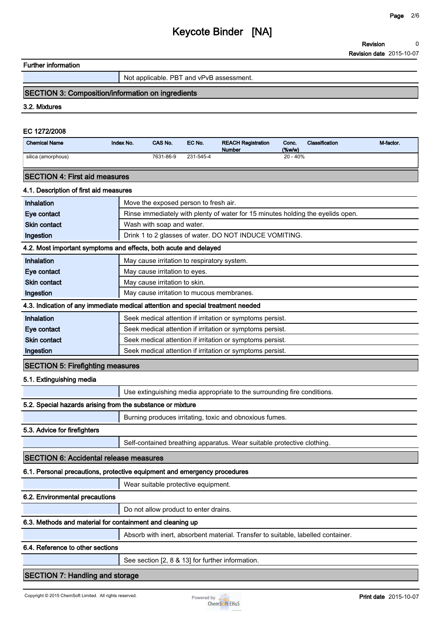### **Further information**

**Not applicable. PBT and vPvB assessment.**

# **SECTION 3: Composition/information on ingredients**

**3.2. Mixtures**

#### **EC 1272/2008**

| <b>Chemical Name</b>                                                            | Index No. | CAS No.                                     | EC No.    | <b>REACH Registration</b><br><b>Number</b>                                       | Conc.<br>(%w/w) | Classification | M-factor. |
|---------------------------------------------------------------------------------|-----------|---------------------------------------------|-----------|----------------------------------------------------------------------------------|-----------------|----------------|-----------|
| silica (amorphous)                                                              |           | 7631-86-9                                   | 231-545-4 |                                                                                  | 20 - 40%        |                |           |
| <b>SECTION 4: First aid measures</b>                                            |           |                                             |           |                                                                                  |                 |                |           |
| 4.1. Description of first aid measures                                          |           |                                             |           |                                                                                  |                 |                |           |
| Inhalation                                                                      |           | Move the exposed person to fresh air.       |           |                                                                                  |                 |                |           |
| Eye contact                                                                     |           |                                             |           | Rinse immediately with plenty of water for 15 minutes holding the eyelids open.  |                 |                |           |
| <b>Skin contact</b>                                                             |           | Wash with soap and water.                   |           |                                                                                  |                 |                |           |
| Ingestion                                                                       |           |                                             |           | Drink 1 to 2 glasses of water. DO NOT INDUCE VOMITING.                           |                 |                |           |
| 4.2. Most important symptoms and effects, both acute and delayed                |           |                                             |           |                                                                                  |                 |                |           |
| Inhalation                                                                      |           | May cause irritation to respiratory system. |           |                                                                                  |                 |                |           |
| Eye contact                                                                     |           | May cause irritation to eyes.               |           |                                                                                  |                 |                |           |
| <b>Skin contact</b>                                                             |           | May cause irritation to skin.               |           |                                                                                  |                 |                |           |
| Ingestion                                                                       |           | May cause irritation to mucous membranes.   |           |                                                                                  |                 |                |           |
| 4.3. Indication of any immediate medical attention and special treatment needed |           |                                             |           |                                                                                  |                 |                |           |
| Inhalation                                                                      |           |                                             |           | Seek medical attention if irritation or symptoms persist.                        |                 |                |           |
| Eye contact                                                                     |           |                                             |           | Seek medical attention if irritation or symptoms persist.                        |                 |                |           |
| <b>Skin contact</b>                                                             |           |                                             |           | Seek medical attention if irritation or symptoms persist.                        |                 |                |           |
| Ingestion                                                                       |           |                                             |           | Seek medical attention if irritation or symptoms persist.                        |                 |                |           |
| <b>SECTION 5: Firefighting measures</b>                                         |           |                                             |           |                                                                                  |                 |                |           |
| 5.1. Extinguishing media                                                        |           |                                             |           |                                                                                  |                 |                |           |
|                                                                                 |           |                                             |           | Use extinguishing media appropriate to the surrounding fire conditions.          |                 |                |           |
| 5.2. Special hazards arising from the substance or mixture                      |           |                                             |           |                                                                                  |                 |                |           |
|                                                                                 |           |                                             |           | Burning produces irritating, toxic and obnoxious fumes.                          |                 |                |           |
| 5.3. Advice for firefighters                                                    |           |                                             |           |                                                                                  |                 |                |           |
|                                                                                 |           |                                             |           | Self-contained breathing apparatus. Wear suitable protective clothing.           |                 |                |           |
| <b>SECTION 6: Accidental release measures</b>                                   |           |                                             |           |                                                                                  |                 |                |           |
| 6.1. Personal precautions, protective equipment and emergency procedures        |           |                                             |           |                                                                                  |                 |                |           |
|                                                                                 |           | Wear suitable protective equipment.         |           |                                                                                  |                 |                |           |
| 6.2. Environmental precautions                                                  |           |                                             |           |                                                                                  |                 |                |           |
|                                                                                 |           | Do not allow product to enter drains.       |           |                                                                                  |                 |                |           |
| 6.3. Methods and material for containment and cleaning up                       |           |                                             |           |                                                                                  |                 |                |           |
|                                                                                 |           |                                             |           | Absorb with inert, absorbent material. Transfer to suitable, labelled container. |                 |                |           |
| 6.4. Reference to other sections                                                |           |                                             |           |                                                                                  |                 |                |           |
|                                                                                 |           |                                             |           | See section [2, 8 & 13] for further information.                                 |                 |                |           |
|                                                                                 |           |                                             |           |                                                                                  |                 |                |           |

# **SECTION 7: Handling and storage**

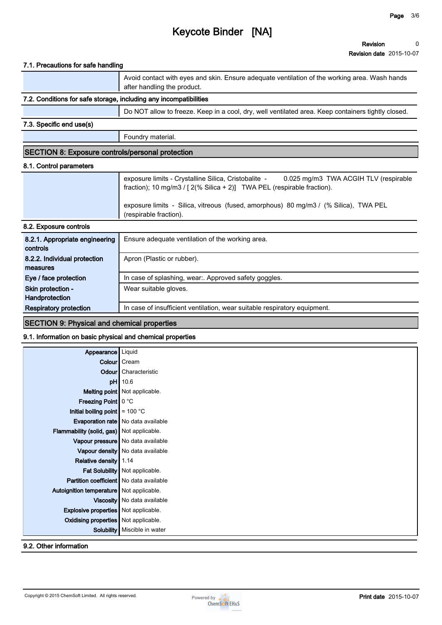## **7.1. Precautions for safe handling**

|                                                                   | Avoid contact with eyes and skin. Ensure adequate ventilation of the working area. Wash hands<br>after handling the product. |
|-------------------------------------------------------------------|------------------------------------------------------------------------------------------------------------------------------|
| 7.2. Conditions for safe storage, including any incompatibilities |                                                                                                                              |

## **Do NOT allow to freeze. Keep in a cool, dry, well ventilated area. Keep containers tightly closed.**

## **7.3. Specific end use(s)**

**Foundry material.**

## **SECTION 8: Exposure controls/personal protection**

### **8.1. Control parameters**

| $0.0$ Evansues controls | exposure limits - Silica, vitreous (fused, amorphous) 80 mg/m3 / (% Silica), TWA PEL<br>(respirable fraction).                                                          |
|-------------------------|-------------------------------------------------------------------------------------------------------------------------------------------------------------------------|
|                         | exposure limits - Crystalline Silica, Cristobalite - 0.025 mg/m3 TWA ACGIH TLV (respirable<br>fraction); 10 mg/m3 / $[2(\% Silica + 2)]$ TWA PEL (respirable fraction). |

#### **8.2. Exposure controls**

| 8.2.1. Appropriate engineering<br>controls | Ensure adequate ventilation of the working area.                          |
|--------------------------------------------|---------------------------------------------------------------------------|
| 8.2.2. Individual protection               | Apron (Plastic or rubber).                                                |
| measures                                   |                                                                           |
| Eye / face protection                      | In case of splashing, wear Approved safety goggles.                       |
| Skin protection -                          | Wear suitable gloves.                                                     |
| Handprotection                             |                                                                           |
| <b>Respiratory protection</b>              | In case of insufficient ventilation, wear suitable respiratory equipment. |

# **SECTION 9: Physical and chemical properties**

### **9.1. Information on basic physical and chemical properties**

| Appearance                                     | Liquid                               |
|------------------------------------------------|--------------------------------------|
|                                                | Colour Cream                         |
|                                                | <b>Odour</b> Characteristic          |
|                                                | pH 10.6                              |
|                                                | <b>Melting point</b> Not applicable. |
| Freezing Point   0 °C                          |                                      |
| Initial boiling point $\approx 100$ °C         |                                      |
|                                                | Evaporation rate   No data available |
| Flammability (solid, gas) Not applicable.      |                                      |
|                                                | Vapour pressure   No data available  |
|                                                | Vapour density   No data available   |
| Relative density 1.14                          |                                      |
|                                                | Fat Solubility   Not applicable.     |
| <b>Partition coefficient</b> No data available |                                      |
| Autoignition temperature   Not applicable.     |                                      |
|                                                | Viscosity   No data available        |
| <b>Explosive properties</b> Not applicable.    |                                      |
| <b>Oxidising properties</b> Not applicable.    |                                      |
|                                                | Solubility   Miscible in water       |
|                                                |                                      |

**9.2. Other information**

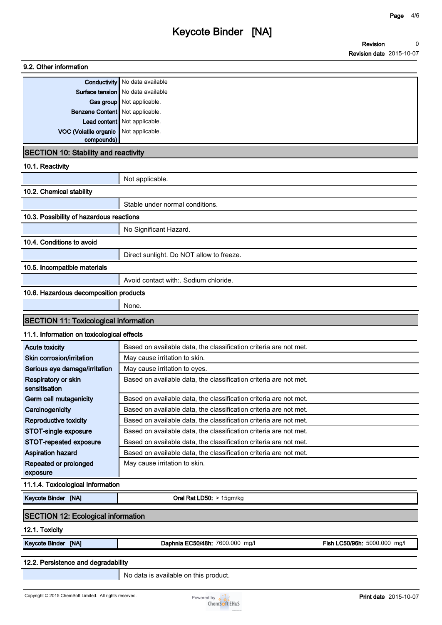# **9.2. Other information Conductivity No data available Surface tension** No data available **Gas group Not applicable. Benzene Content Not applicable. Lead content Not applicable. VOC (Volatile organic compounds) Not applicable. SECTION 10: Stability and reactivity 10.1. Reactivity Not applicable. 10.2. Chemical stability Stable under normal conditions. 10.3. Possibility of hazardous reactions No Significant Hazard. 10.4. Conditions to avoid Direct sunlight. Do NOT allow to freeze. 10.5. Incompatible materials Avoid contact with:. Sodium chloride. 10.6. Hazardous decomposition products None. SECTION 11: Toxicological information 11.1. Information on toxicological effects Acute toxicity Based on available data, the classification criteria are not met. Skin corrosion/irritation** | May cause irritation to skin. **Serious eye damage/irritation** | May cause irritation to eyes. **Respiratory or skin sensitisation Based on available data, the classification criteria are not met. Germ cell mutagenicity Based on available data, the classification criteria are not met. Carcinogenicity Based on available data, the classification criteria are not met. Reproductive toxicity Based on available data, the classification criteria are not met. STOT-single exposure Based on available data, the classification criteria are not met. STOT-repeated exposure Based on available data, the classification criteria are not met. Aspiration hazard Based on available data, the classification criteria are not met. Repeated or prolonged exposure May cause irritation to skin. 11.1.4. Toxicological Information**

**Keycote Binder [NA] Oral Rat LD50: > 15gm/kg**

# **SECTION 12: Ecological information**

**12.1. Toxicity**

**Keycote Binder [NA] Daphnia EC50/48h: 7600.000 mg/l Fish LC50/96h: 5000.000 mg/l**

#### **12.2. Persistence and degradability**

**No data is available on this product.**

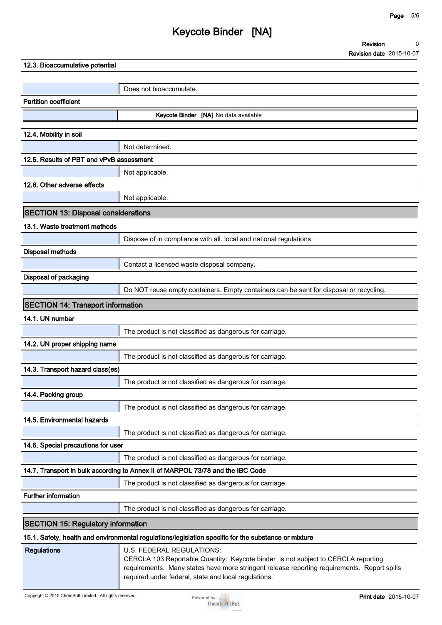**Revision Revision date 2015-10-07 0**

| 12.3. Bioaccumulative potential            |                                                                                                                                                                                  |
|--------------------------------------------|----------------------------------------------------------------------------------------------------------------------------------------------------------------------------------|
|                                            |                                                                                                                                                                                  |
|                                            | Does not bioaccumulate.                                                                                                                                                          |
| <b>Partition coefficient</b>               |                                                                                                                                                                                  |
|                                            | Keycote Binder [NA] No data available                                                                                                                                            |
| 12.4. Mobility in soil                     |                                                                                                                                                                                  |
|                                            | Not determined.                                                                                                                                                                  |
| 12.5. Results of PBT and vPvB assessment   |                                                                                                                                                                                  |
|                                            | Not applicable.                                                                                                                                                                  |
| 12.6. Other adverse effects                |                                                                                                                                                                                  |
|                                            | Not applicable.                                                                                                                                                                  |
| <b>SECTION 13: Disposal considerations</b> |                                                                                                                                                                                  |
| 13.1. Waste treatment methods              |                                                                                                                                                                                  |
|                                            | Dispose of in compliance with all. local and national regulations.                                                                                                               |
| <b>Disposal methods</b>                    |                                                                                                                                                                                  |
|                                            | Contact a licensed waste disposal company.                                                                                                                                       |
| Disposal of packaging                      |                                                                                                                                                                                  |
|                                            | Do NOT reuse empty containers. Empty containers can be sent for disposal or recycling.                                                                                           |
| <b>SECTION 14: Transport information</b>   |                                                                                                                                                                                  |
| 14.1. UN number                            |                                                                                                                                                                                  |
|                                            | The product is not classified as dangerous for carriage.                                                                                                                         |
| 14.2. UN proper shipping name              |                                                                                                                                                                                  |
|                                            | The product is not classified as dangerous for carriage.                                                                                                                         |
| 14.3. Transport hazard class(es)           |                                                                                                                                                                                  |
|                                            | The product is not classified as dangerous for carriage.                                                                                                                         |
| 14.4. Packing group                        |                                                                                                                                                                                  |
|                                            | The product is not classified as dangerous for carriage.                                                                                                                         |
| 14.5. Environmental hazards                |                                                                                                                                                                                  |
|                                            | The product is not classified as dangerous for carriage.                                                                                                                         |
| 14.6. Special precautions for user         |                                                                                                                                                                                  |
|                                            | The product is not classified as dangerous for carriage.                                                                                                                         |
|                                            | 14.7. Transport in bulk according to Annex II of MARPOL 73/78 and the IBC Code                                                                                                   |
|                                            | The product is not classified as dangerous for carriage.                                                                                                                         |
| <b>Further information</b>                 |                                                                                                                                                                                  |
|                                            | The product is not classified as dangerous for carriage.                                                                                                                         |
| <b>SECTION 15: Regulatory information</b>  |                                                                                                                                                                                  |
|                                            | 15.1. Safety, health and environmental regulations/legislation specific for the substance or mixture                                                                             |
| <b>Regulations</b>                         | U.S. FEDERAL REGULATIONS:                                                                                                                                                        |
|                                            | CERCLA 103 Reportable Quantity: Keycote binder is not subject to CERCLA reporting<br>requirements. Many states have more stringent release reporting requirements. Report spills |



**required under federal, state and local regulations.**